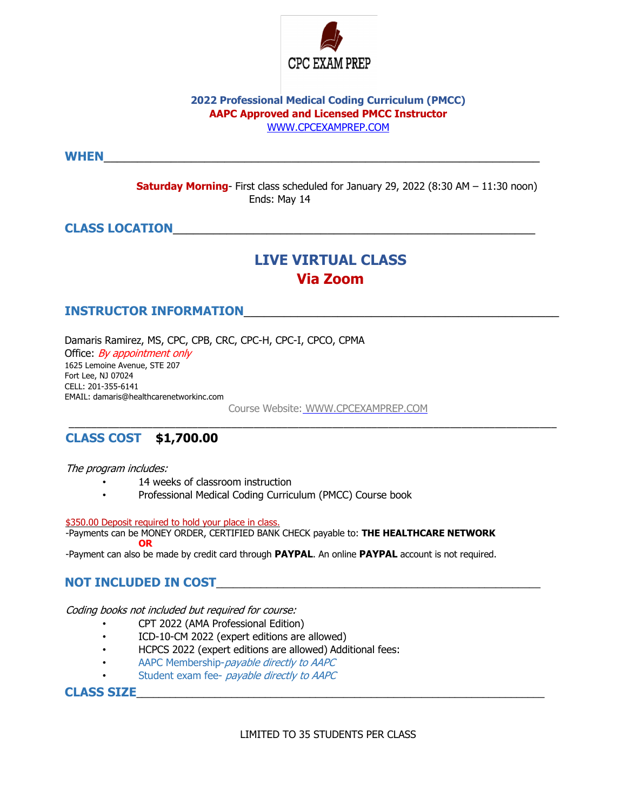

### **2022 Professional Medical Coding Curriculum (PMCC) AAPC Approved and Licensed PMCC Instructor** WWW.CPCEXAMPREP.COM

**WHEN**\_\_\_\_\_\_\_\_\_\_\_\_\_\_\_\_\_\_\_\_\_\_\_\_\_\_\_\_\_\_\_\_\_\_\_\_\_\_\_\_\_\_\_\_\_\_\_\_\_\_\_\_\_\_\_\_\_\_\_\_\_\_\_\_\_

**Saturday Morning**- First class scheduled for January 29, 2022 (8:30 AM – 11:30 noon) Ends: May 14

## **CLASS LOCATION**\_\_\_\_\_\_\_\_\_\_\_\_\_\_\_\_\_\_\_\_\_\_\_\_\_\_\_\_\_\_\_\_\_\_\_\_\_\_\_\_\_\_\_\_\_\_\_\_\_\_\_\_\_\_

# **LIVE VIRTUAL CLASS Via Zoom**

## **INSTRUCTOR INFORMATION**\_\_\_\_\_\_\_\_\_\_\_\_\_\_\_\_\_\_\_\_\_\_\_\_\_\_\_\_\_\_\_\_\_\_\_\_\_\_\_\_\_\_\_\_\_\_\_

Damaris Ramirez, MS, CPC, CPB, CRC, CPC-H, CPC-I, CPCO, CPMA

Office: *By appointment only* 1625 Lemoine Avenue, STE 207 Fort Lee, NJ 07024 CELL: 201-355-6141 EMAIL: damaris@healthcarenetworkinc.com

Course Website: WWW.CPCEXAMPREP.COM

\_\_\_\_\_\_\_\_\_\_\_\_\_\_\_\_\_\_\_\_\_\_\_\_\_\_\_\_\_\_\_\_\_\_\_\_\_\_\_\_\_\_\_\_\_\_\_\_\_\_\_\_\_\_\_\_\_\_\_\_\_\_\_\_\_\_\_\_\_\_\_\_\_\_\_\_\_\_\_\_\_\_\_\_\_\_\_

## **CLASS COST \$1,700.00**

The program includes:

- 14 weeks of classroom instruction
- Professional Medical Coding Curriculum (PMCC) Course book

\$350.00 Deposit required to hold your place in class.

-Payments can be MONEY ORDER, CERTIFIED BANK CHECK payable to: **THE HEALTHCARE NETWORK OR**

-Payment can also be made by credit card through **PAYPAL**. An online **PAYPAL** account is not required.

## **NOT INCLUDED IN COST**\_\_\_\_\_\_\_\_\_\_\_\_\_\_\_\_\_\_\_\_\_\_\_\_\_\_\_\_\_\_\_\_\_\_\_\_\_\_\_\_\_\_\_\_\_\_\_\_\_\_\_\_\_\_\_\_\_\_

Coding books not included but required for course:

- CPT 2022 (AMA Professional Edition)
- ICD-10-CM 2022 (expert editions are allowed)
- HCPCS 2022 (expert editions are allowed) Additional fees:
- AAPC Membership-*payable directly to AAPC*
- Student exam fee- payable directly to AAPC

**CLASS SIZE**\_\_\_\_\_\_\_\_\_\_\_\_\_\_\_\_\_\_\_\_\_\_\_\_\_\_\_\_\_\_\_\_\_\_\_\_\_\_\_\_\_\_\_\_\_\_\_\_\_\_\_\_\_\_\_\_\_\_\_\_\_\_\_\_\_\_\_\_\_\_\_\_\_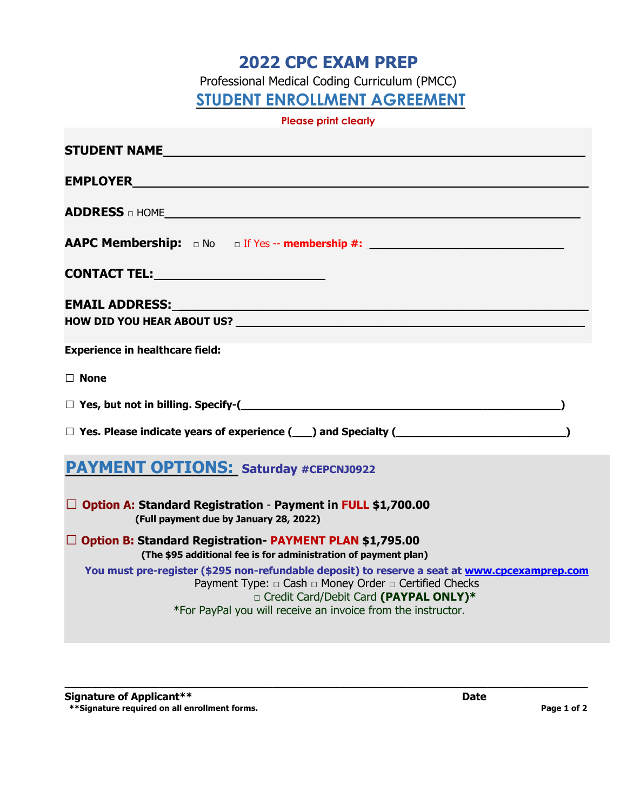# **2022 CPC EXAM PREP**

Professional Medical Coding Curriculum (PMCC)

**STUDENT ENROLLMENT AGREEMENT**

**Please print clearly** 

| STUDENT NAME                                                                                                                                                                                                                                                                              |
|-------------------------------------------------------------------------------------------------------------------------------------------------------------------------------------------------------------------------------------------------------------------------------------------|
|                                                                                                                                                                                                                                                                                           |
| <b>ADDRESS</b> on HOME <b>ADDRESS</b> and HOME <b>ADDRESS</b> and HOME <b>ADDRESS</b> and HOME <b>ADDRESS</b> and HOME <b>ADDRESS</b> and HOME <b>ADDRESS</b> and HOME <b>ADDRESS</b> and HOME <b>ADDRESS</b> and HOME <b>ADDRESS</b> and HOME <b>ADDRESS</b> and HOME <b>ADDRESS</b> and |
| <b>AAPC Membership:</b> $\Box$ No $\Box$ If Yes -- membership #: $\Box$                                                                                                                                                                                                                   |
|                                                                                                                                                                                                                                                                                           |
|                                                                                                                                                                                                                                                                                           |
|                                                                                                                                                                                                                                                                                           |
| <b>Experience in healthcare field:</b>                                                                                                                                                                                                                                                    |
| $\Box$ None                                                                                                                                                                                                                                                                               |
| $\Box$ Yes, but not in billing. Specify-( $\Box$                                                                                                                                                                                                                                          |
|                                                                                                                                                                                                                                                                                           |
| <b>PAYMENT OPTIONS: Saturday #CEPCNJ0922</b>                                                                                                                                                                                                                                              |
| $\Box$ Option A: Standard Registration - Payment in FULL \$1,700.00<br>(Full payment due by January 28, 2022)                                                                                                                                                                             |
| □ Option B: Standard Registration- PAYMENT PLAN \$1,795.00<br>(The \$95 additional fee is for administration of payment plan)                                                                                                                                                             |
| You must pre-register (\$295 non-refundable deposit) to reserve a seat at www.cpcexamprep.com<br>Payment Type: □ Cash □ Money Order □ Certified Checks<br>n Credit Card/Debit Card (PAYPAL ONLY)*<br>*For PayPal you will receive an invoice from the instructor.                         |
|                                                                                                                                                                                                                                                                                           |

\_\_\_\_\_\_\_\_\_\_\_\_\_\_\_\_\_\_\_\_\_\_\_\_\_\_\_\_\_\_\_\_\_\_\_\_\_\_\_\_\_\_\_\_\_\_\_\_\_\_\_\_\_\_\_\_\_\_\_\_\_\_\_\_\_\_\_\_\_\_\_\_\_\_\_\_\_\_